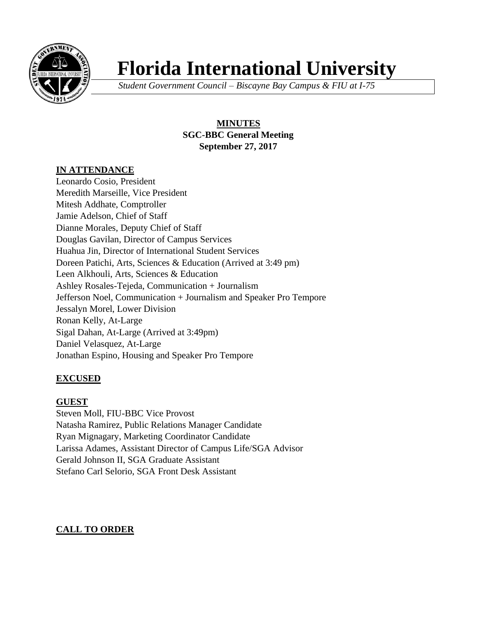

# **Florida International University**

*Student Government Council – Biscayne Bay Campus & FIU at I-75*

**MINUTES SGC-BBC General Meeting September 27, 2017**

# **IN ATTENDANCE**

Leonardo Cosio, President Meredith Marseille, Vice President Mitesh Addhate, Comptroller Jamie Adelson, Chief of Staff Dianne Morales, Deputy Chief of Staff Douglas Gavilan, Director of Campus Services Huahua Jin, Director of International Student Services Doreen Patichi, Arts, Sciences & Education (Arrived at 3:49 pm) Leen Alkhouli, Arts, Sciences & Education Ashley Rosales-Tejeda, Communication + Journalism Jefferson Noel, Communication + Journalism and Speaker Pro Tempore Jessalyn Morel, Lower Division Ronan Kelly, At-Large Sigal Dahan, At-Large (Arrived at 3:49pm) Daniel Velasquez, At-Large Jonathan Espino, Housing and Speaker Pro Tempore

# **EXCUSED**

## **GUEST**

Steven Moll, FIU-BBC Vice Provost Natasha Ramirez, Public Relations Manager Candidate Ryan Mignagary, Marketing Coordinator Candidate Larissa Adames, Assistant Director of Campus Life/SGA Advisor Gerald Johnson II, SGA Graduate Assistant Stefano Carl Selorio, SGA Front Desk Assistant

# **CALL TO ORDER**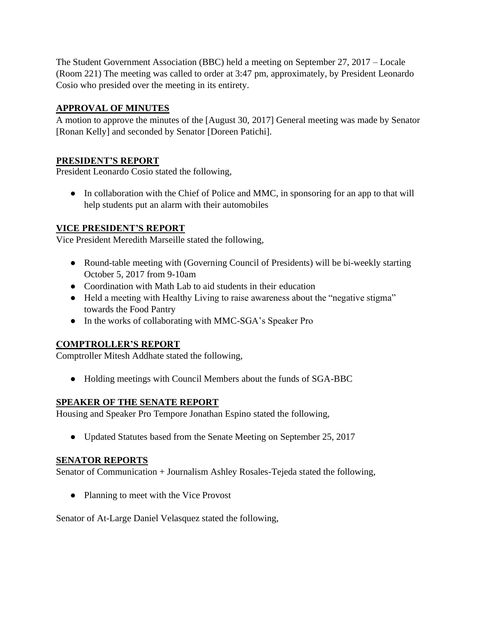The Student Government Association (BBC) held a meeting on September 27, 2017 – Locale (Room 221) The meeting was called to order at 3:47 pm, approximately, by President Leonardo Cosio who presided over the meeting in its entirety.

# **APPROVAL OF MINUTES**

A motion to approve the minutes of the [August 30, 2017] General meeting was made by Senator [Ronan Kelly] and seconded by Senator [Doreen Patichi].

# **PRESIDENT'S REPORT**

President Leonardo Cosio stated the following,

• In collaboration with the Chief of Police and MMC, in sponsoring for an app to that will help students put an alarm with their automobiles

# **VICE PRESIDENT'S REPORT**

Vice President Meredith Marseille stated the following,

- Round-table meeting with (Governing Council of Presidents) will be bi-weekly starting October 5, 2017 from 9-10am
- Coordination with Math Lab to aid students in their education
- Held a meeting with Healthy Living to raise awareness about the "negative stigma" towards the Food Pantry
- In the works of collaborating with MMC-SGA's Speaker Pro

# **COMPTROLLER'S REPORT**

Comptroller Mitesh Addhate stated the following,

● Holding meetings with Council Members about the funds of SGA-BBC

## **SPEAKER OF THE SENATE REPORT**

Housing and Speaker Pro Tempore Jonathan Espino stated the following,

• Updated Statutes based from the Senate Meeting on September 25, 2017

## **SENATOR REPORTS**

Senator of Communication + Journalism Ashley Rosales-Tejeda stated the following,

• Planning to meet with the Vice Provost

Senator of At-Large Daniel Velasquez stated the following,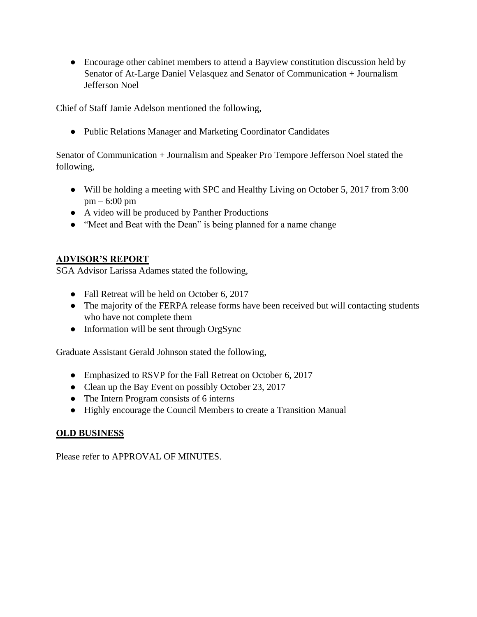• Encourage other cabinet members to attend a Bayview constitution discussion held by Senator of At-Large Daniel Velasquez and Senator of Communication + Journalism Jefferson Noel

Chief of Staff Jamie Adelson mentioned the following,

● Public Relations Manager and Marketing Coordinator Candidates

Senator of Communication + Journalism and Speaker Pro Tempore Jefferson Noel stated the following,

- Will be holding a meeting with SPC and Healthy Living on October 5, 2017 from 3:00 pm – 6:00 pm
- A video will be produced by Panther Productions
- "Meet and Beat with the Dean" is being planned for a name change

# **ADVISOR'S REPORT**

SGA Advisor Larissa Adames stated the following,

- Fall Retreat will be held on October 6, 2017
- The majority of the FERPA release forms have been received but will contacting students who have not complete them
- Information will be sent through OrgSync

Graduate Assistant Gerald Johnson stated the following,

- Emphasized to RSVP for the Fall Retreat on October 6, 2017
- Clean up the Bay Event on possibly October 23, 2017
- The Intern Program consists of 6 interns
- Highly encourage the Council Members to create a Transition Manual

## **OLD BUSINESS**

Please refer to APPROVAL OF MINUTES.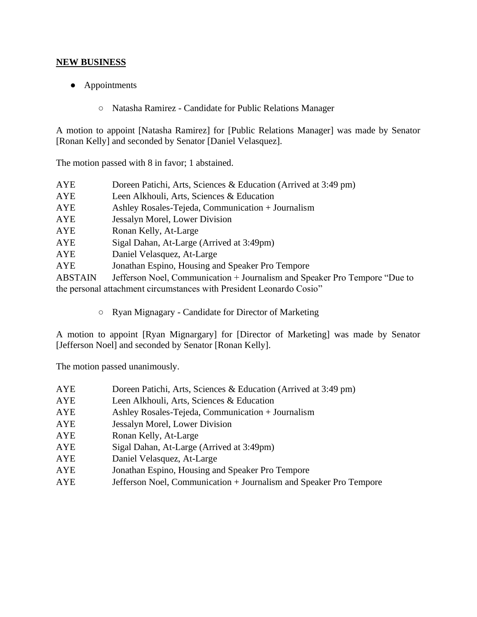# **NEW BUSINESS**

- Appointments
	- Natasha Ramirez Candidate for Public Relations Manager

A motion to appoint [Natasha Ramirez] for [Public Relations Manager] was made by Senator [Ronan Kelly] and seconded by Senator [Daniel Velasquez].

The motion passed with 8 in favor; 1 abstained.

| <b>AYE</b>                                                           | Doreen Patichi, Arts, Sciences & Education (Arrived at 3:49 pm)            |  |
|----------------------------------------------------------------------|----------------------------------------------------------------------------|--|
| AYE                                                                  | Leen Alkhouli, Arts, Sciences & Education                                  |  |
| AYE                                                                  | Ashley Rosales-Tejeda, Communication + Journalism                          |  |
| AYE                                                                  | Jessalyn Morel, Lower Division                                             |  |
| AYE                                                                  | Ronan Kelly, At-Large                                                      |  |
| AYE                                                                  | Sigal Dahan, At-Large (Arrived at 3:49pm)                                  |  |
| AYE                                                                  | Daniel Velasquez, At-Large                                                 |  |
| AYE                                                                  | Jonathan Espino, Housing and Speaker Pro Tempore                           |  |
| <b>ABSTAIN</b>                                                       | Jefferson Noel, Communication + Journalism and Speaker Pro Tempore "Due to |  |
| the personal attachment circumstances with President Leonardo Cosio" |                                                                            |  |

○ Ryan Mignagary - Candidate for Director of Marketing

A motion to appoint [Ryan Mignargary] for [Director of Marketing] was made by Senator [Jefferson Noel] and seconded by Senator [Ronan Kelly].

The motion passed unanimously.

| AYE        | Doreen Patichi, Arts, Sciences & Education (Arrived at 3:49 pm) |
|------------|-----------------------------------------------------------------|
| <b>AYE</b> | Leen Alkhouli, Arts, Sciences & Education                       |
| AYE        | Ashley Rosales-Tejeda, Communication + Journalism               |
| AYE        | Jessalyn Morel, Lower Division                                  |
| <b>AYE</b> | Ronan Kelly, At-Large                                           |
| <b>AYE</b> | Sigal Dahan, At-Large (Arrived at 3:49pm)                       |
| <b>AYE</b> | Daniel Velasquez, At-Large                                      |
| <b>AYE</b> | Jonathan Espino, Housing and Speaker Pro Tempore                |
|            |                                                                 |

AYE Jefferson Noel, Communication + Journalism and Speaker Pro Tempore